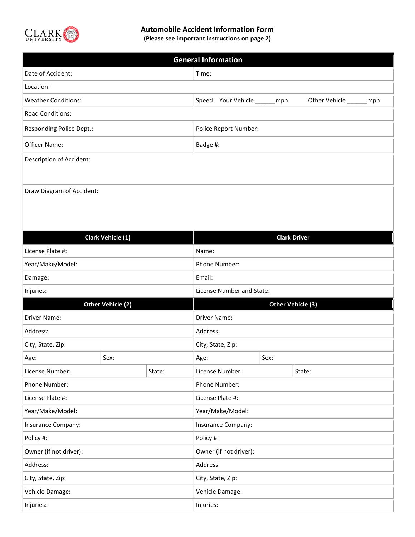

## **Automobile Accident Information Form**

**(Please see important instructions on page 2)**

| <b>General Information</b> |                                                         |  |  |  |
|----------------------------|---------------------------------------------------------|--|--|--|
| Date of Accident:          | Time:                                                   |  |  |  |
| Location:                  |                                                         |  |  |  |
| <b>Weather Conditions:</b> | Speed: Your Vehicle ______ mph<br>Other Vehicle<br>_mph |  |  |  |
| Road Conditions:           |                                                         |  |  |  |
| Responding Police Dept.:   | Police Report Number:                                   |  |  |  |
| Officer Name:              | Badge #:                                                |  |  |  |
| Description of Accident:   |                                                         |  |  |  |
|                            |                                                         |  |  |  |
| Draw Diagram of Accident:  |                                                         |  |  |  |
|                            |                                                         |  |  |  |
|                            |                                                         |  |  |  |

| Clark Vehicle (1)      |      | <b>Clark Driver</b>       |                 |      |        |
|------------------------|------|---------------------------|-----------------|------|--------|
| License Plate #:       |      | Name:                     |                 |      |        |
| Year/Make/Model:       |      | Phone Number:             |                 |      |        |
| Damage:                |      | Email:                    |                 |      |        |
| Injuries:              |      | License Number and State: |                 |      |        |
| Other Vehicle (2)      |      | Other Vehicle (3)         |                 |      |        |
| <b>Driver Name:</b>    |      | Driver Name:              |                 |      |        |
| Address:               |      | Address:                  |                 |      |        |
| City, State, Zip:      |      | City, State, Zip:         |                 |      |        |
| Age:                   | Sex: |                           | Age:            | Sex: |        |
| License Number:        |      | State:                    | License Number: |      | State: |
| Phone Number:          |      | Phone Number:             |                 |      |        |
| License Plate #:       |      | License Plate #:          |                 |      |        |
| Year/Make/Model:       |      | Year/Make/Model:          |                 |      |        |
| Insurance Company:     |      | Insurance Company:        |                 |      |        |
| Policy #:              |      | Policy #:                 |                 |      |        |
| Owner (if not driver): |      | Owner (if not driver):    |                 |      |        |
| Address:               |      | Address:                  |                 |      |        |
| City, State, Zip:      |      | City, State, Zip:         |                 |      |        |
| Vehicle Damage:        |      | Vehicle Damage:           |                 |      |        |
| Injuries:              |      | Injuries:                 |                 |      |        |